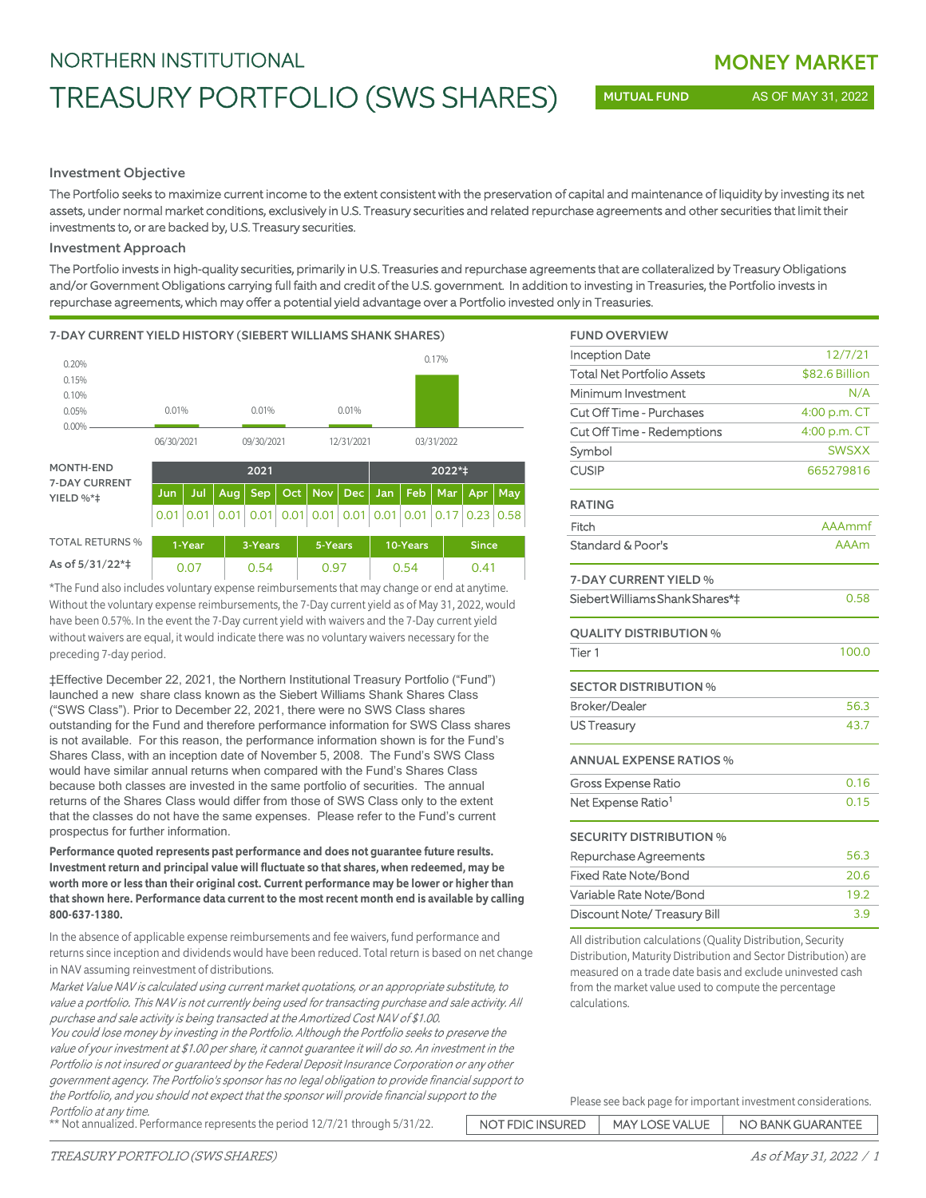## NORTHERN INSTITUTIONAL

# TREASURY PORTFOLIO (SWS SHARES)

MUTUAL FUND AS OF MAY 31, 2022

### Investment Objective

The Portfolio seeks to maximize current income to the extent consistent with the preservation of capital and maintenance of liquidity by investing its net assets, under normal market conditions, exclusively in U.S. Treasury securities and related repurchase agreements and other securities that limit their investments to, or are backed by, U.S. Treasury securities.

### Investment Approach

The Portfolio invests in high-quality securities, primarily in U.S. Treasuries and repurchase agreements that are collateralized by Treasury Obligations and/or Government Obligations carrying full faith and credit of the U.S. government. In addition to investing in Treasuries, the Portfolio invests in repurchase agreements, which may offer a potential yield advantage over a Portfolio invested only in Treasuries.

### 7-DAY CURRENT YIELD HISTORY (SIEBERT WILLIAMS SHANK SHARES)



| <b>TOTAL RETURNS %</b> | \1-Year | 3-Years | 5-Years | 10-Years | <b>Since</b> |
|------------------------|---------|---------|---------|----------|--------------|
| As of 5/31/22*‡        | 0.07    | 0.54    | 0.97    | 0.54     | 0.41         |

\*The Fund also includes voluntary expense reimbursements that may change or end at anytime. Without the voluntary expense reimbursements, the 7-Day current yield as of May 31, 2022, would have been 0.57%. In the event the 7-Day current yield with waivers and the 7-Day current yield without waivers are equal, it would indicate there was no voluntary waivers necessary for the preceding 7-day period.

‡Effective December 22, 2021, the Northern Institutional Treasury Portfolio ("Fund") launched a new share class known as the Siebert Williams Shank Shares Class ("SWS Class"). Prior to December 22, 2021, there were no SWS Class shares outstanding for the Fund and therefore performance information for SWS Class shares is not available. For this reason, the performance information shown is for the Fund's Shares Class, with an inception date of November 5, 2008. The Fund's SWS Class would have similar annual returns when compared with the Fund's Shares Class because both classes are invested in the same portfolio of securities. The annual returns of the Shares Class would differ from those of SWS Class only to the extent that the classes do not have the same expenses. Please refer to the Fund's current prospectus for further information.

**Performance quoted represents past performance and does not guarantee future results. Investment return and principal value will fluctuate so that shares, when redeemed, may be worth more or less than their original cost. Current performance may be lower or higher than that shown here. Performance data current to the most recent month end is available by calling 800-637-1380.**

In the absence of applicable expense reimbursements and fee waivers, fund performance and returns since inception and dividends would have been reduced. Total return is based on net change in NAV assuming reinvestment of distributions.

Market Value NAV is calculated using current market quotations, or an appropriate substitute, to value a portfolio. This NAV is not currently being used for transacting purchase and sale activity. All purchase and sale activity is being transacted at the Amortized Cost NAV of \$1.00.

You could lose money by investing in the Portfolio. Although the Portfolio seeks to preserve the value of your investment at \$1.00 per share, it cannot guarantee it will do so. An investment in the Portfolio is not insured or guaranteed by the Federal Deposit Insurance Corporation or any other government agency. The Portfolio's sponsor has no legal obligation to provide financial support to the Portfolio, and you should not expect that the sponsor will provide financial support to the Portfolio at any time.

| <b>FUND OVERVIEW</b>              |                |
|-----------------------------------|----------------|
| <b>Inception Date</b>             | 12/7/21        |
| <b>Total Net Portfolio Assets</b> | \$82.6 Billion |
| Minimum Investment                | N/A            |
| Cut Off Time - Purchases          | 4:00 p.m. CT   |
| Cut Off Time - Redemptions        | 4:00 p.m. CT   |
| Symbol                            | <b>SWSXX</b>   |
| <b>CUSIP</b>                      | 665279816      |
| <b>RATING</b>                     |                |
| Fitch                             | AAAmmf         |
| Standard & Poor's                 | <b>AAAm</b>    |
| 7-DAY CURRENT YIELD %             |                |
| Siebert Williams Shank Shares*‡   | 0.58           |
| <b>QUALITY DISTRIBUTION %</b>     |                |
| Tier <sub>1</sub>                 | 100.0          |
| <b>SECTOR DISTRIBUTION %</b>      |                |
| <b>Broker/Dealer</b>              | 56.3           |
| <b>US Treasury</b>                | 43.7           |
| <b>ANNUAL EXPENSE RATIOS %</b>    |                |
| <b>Gross Expense Ratio</b>        | 0.16           |
| Net Expense Ratio <sup>1</sup>    | 0.15           |
| <b>SECURITY DISTRIBUTION %</b>    |                |
| Repurchase Agreements             | 56.3           |
| <b>Fixed Rate Note/Bond</b>       | 20.6           |
| Variable Rate Note/Bond           | 19.2           |
| Discount Note/Treasury Bill       | 3.9            |

All distribution calculations (Quality Distribution, Security Distribution, Maturity Distribution and Sector Distribution) are measured on a trade date basis and exclude uninvested cash from the market value used to compute the percentage calculations.

| Please see back page for important investment considerations. |  |  |  |  |  |
|---------------------------------------------------------------|--|--|--|--|--|

NOT FDIC INSURED | MAY LOSE VALUE | NO BANK GUARANTEE \*\* Not annualized. Performance represents the period 12/7/21 through 5/31/22.